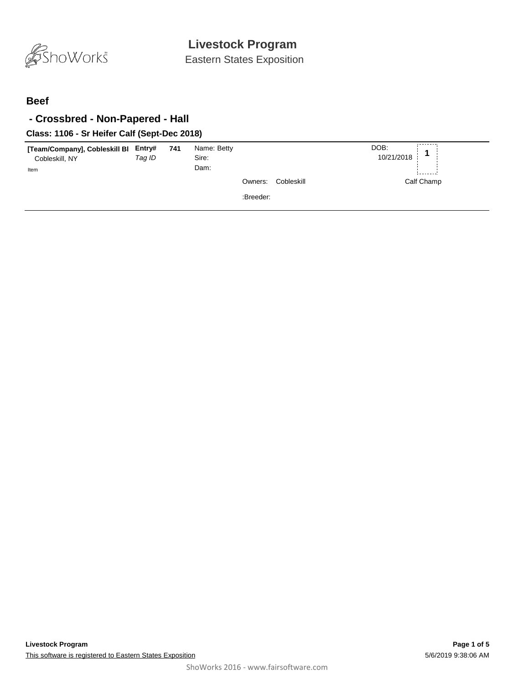

Eastern States Exposition

#### **Beef**

### **- Crossbred - Non-Papered - Hall**

#### **Class: 1106 - Sr Heifer Calf (Sept-Dec 2018)**

| [Team/Company], Cobleskill BI Entry# 741<br>Cobleskill, NY<br>Item | Tag ID | Name: Betty<br>Sire:<br>Dam: |                       | DOB:<br>10/21/2018 |
|--------------------------------------------------------------------|--------|------------------------------|-----------------------|--------------------|
|                                                                    |        |                              | Cobleskill<br>Owners: | Calf Champ         |
|                                                                    |        |                              | :Breeder:             |                    |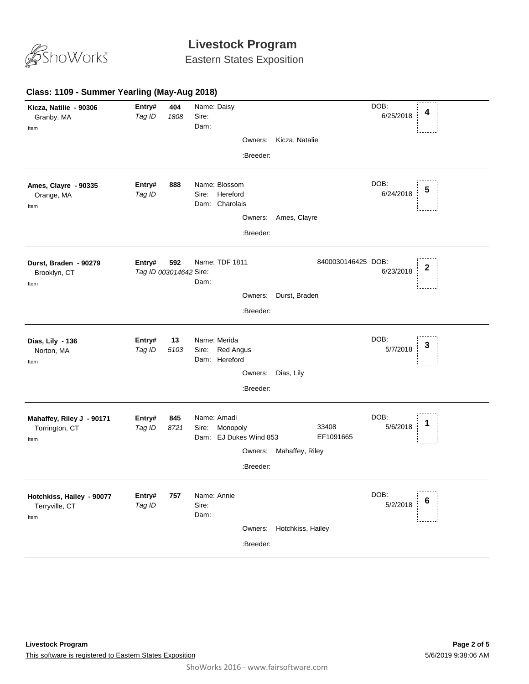

Eastern States Exposition

#### **404** *Tag ID 1808* Name: Daisy Sire: DOB: 6/25/2018 Dam: **Kicza, Natilie - 90306** Granby, MA **Entry# <sup>4</sup>** Item Owners: Kicza, Natalie :Breeder: **888** *Tag ID* Name: Blossom Sire: Hereford DOB: 6/24/2018 Dam: Charolais **Ames, Clayre - 90335** Orange, MA **Entry# <sup>5</sup>** Item Owners: Ames, Clayre :Breeder: **592 Entry# 592** Name: TDF 1811 8400030146425 DOB:<br>*Tag ID 003014642 S*ire: 6/23/2018 **2** Name: TDF 1811 8400030146425 DOB: 6/23/2018 Dam: **Durst, Braden - 90279** 8400030146425 Brooklyn, CT Item Owners: Durst, Braden :Breeder: **13** *Tag ID 5103* Name: Merida Sire: Red Angus DOB: 5/7/2018 Dam: Hereford **Dias, Lily - 136** Norton, MA **Entry# 13** Name: Merida DOB: **3**<br>Tag ID 5103 Siro: Bod Angue Item Owners: Dias, Lily :Breeder: **845** *Tag ID 8721* Name: Amadi Sire: Monopoly DOB: 5/6/2018 Dam: EJ Dukes Wind 853 33408 EF1091665 **Mahaffey, Riley J - 90171** Torrington, CT **Entry# <sup>1</sup>** Item Owners: Mahaffey, Riley :Breeder: **757** *Tag ID* Name: Annie Sire: DOB: 5/2/2018 Dam: **Hotchkiss, Hailey - 90077** Terryville, CT **Entry# 757** Name: Annie **1990 12:00 12:00 12:00 12:00 12:00 12:00 12:00 12:00 12:00 12:00 12:00 12:00 12:00 12:00 12:00 12:00 12:00 12:00 12:00 12:00 12:00 12:00 12:00 12:00 12:00 12:00 12:00 12:00 12:00 12:00 12:00 12:00** Item Owners: Hotchkiss, Hailey :Breeder: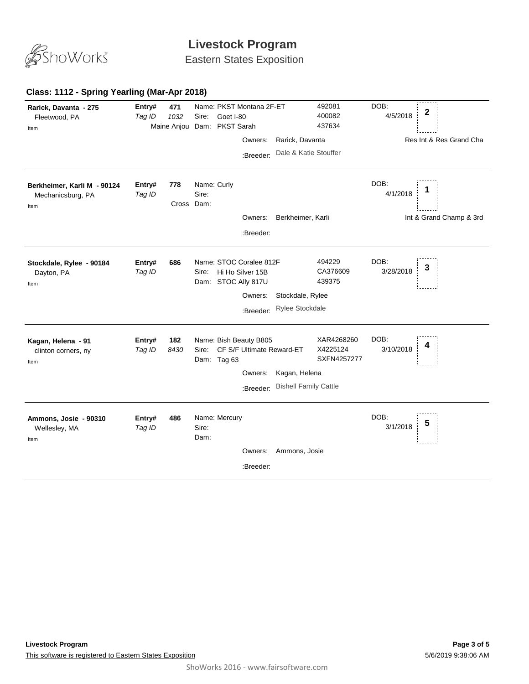

Eastern States Exposition

#### **Class: 1112 - Spring Yearling (Mar-Apr 2018)**

| Rarick, Davanta - 275<br>Fleetwood, PA<br>Item           | Entry#<br>Tag ID | 471<br>1032       | Name: PKST Montana 2F-ET<br>Goet I-80<br>Sire:<br>Maine Anjou Dam: PKST Sarah | Owners:<br>:Breeder:                              | Rarick, Davanta<br>Dale & Katie Stouffer      | 492081<br>400082<br>437634            | DOB:<br>4/5/2018  | $\mathbf 2$<br>Res Int & Res Grand Cha |
|----------------------------------------------------------|------------------|-------------------|-------------------------------------------------------------------------------|---------------------------------------------------|-----------------------------------------------|---------------------------------------|-------------------|----------------------------------------|
| Berkheimer, Karli M - 90124<br>Mechanicsburg, PA<br>Item | Entry#<br>Tag ID | 778<br>Cross Dam: | Name: Curly<br>Sire:                                                          | Owners:<br>:Breeder:                              | Berkheimer, Karli                             |                                       | DOB:<br>4/1/2018  | Int & Grand Champ & 3rd                |
| Stockdale, Rylee - 90184<br>Dayton, PA<br>Item           | Entry#<br>Tag ID | 686               | Name: STOC Coralee 812F<br>Sire:<br>Dam: STOC Ally 817U                       | Hi Ho Silver 15B<br>Owners:<br>:Breeder:          | Stockdale, Rylee<br><b>Rylee Stockdale</b>    | 494229<br>CA376609<br>439375          | DOB:<br>3/28/2018 | 3                                      |
| Kagan, Helena - 91<br>clinton corners, ny<br>Item        | Entry#<br>Tag ID | 182<br>8430       | Name: Bish Beauty B805<br>Sire:<br>Dam: Tag 63                                | CF S/F Ultimate Reward-ET<br>Owners:<br>:Breeder: | Kagan, Helena<br><b>Bishell Family Cattle</b> | XAR4268260<br>X4225124<br>SXFN4257277 | DOB:<br>3/10/2018 | 4                                      |
| Ammons, Josie - 90310<br>Wellesley, MA<br>Item           | Entry#<br>Tag ID | 486               | Name: Mercury<br>Sire:<br>Dam:                                                | Owners:<br>:Breeder:                              | Ammons, Josie                                 |                                       | DOB:<br>3/1/2018  | 5                                      |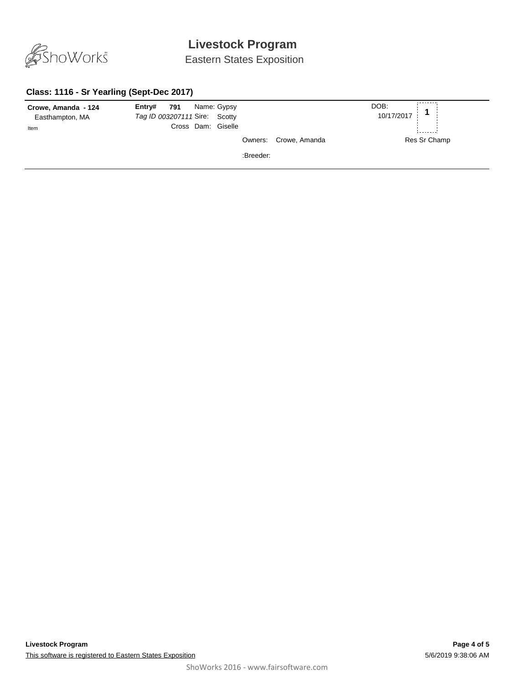

Eastern States Exposition

#### **Class: 1116 - Sr Yearling (Sept-Dec 2017)**

| Crowe, Amanda - 124 | $Entry#$ 791<br>Name: Gypsy   |                       | DOB:<br>$\overline{A}$ |
|---------------------|-------------------------------|-----------------------|------------------------|
| Easthampton, MA     | Tag ID 003207111 Sire: Scotty |                       | 10/17/2017             |
| Item                | Cross Dam: Giselle            |                       |                        |
|                     |                               | Owners: Crowe, Amanda | Res Sr Champ           |
|                     |                               | :Breeder:             |                        |
|                     |                               |                       |                        |